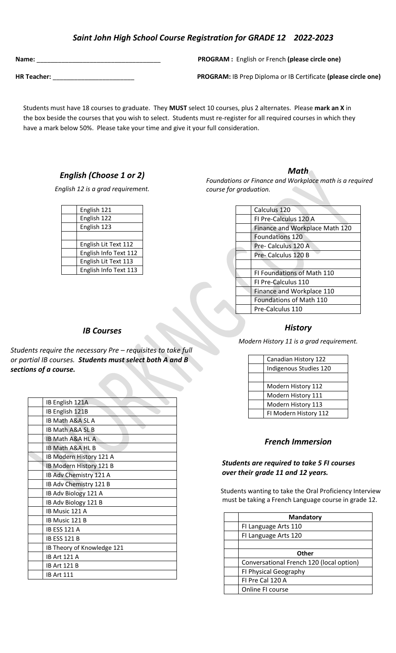# *Saint John High School Course Registration for GRADE 12 2022-2023*

**Name: Name: Name: PROGRAM :** English or French **(please circle one)** 

**HR Teacher:** \_\_\_\_\_\_\_\_\_\_\_\_\_\_\_\_\_\_\_\_\_\_\_ **PROGRAM:** IB Prep Diploma or IB Certificate **(please circle one)**

 the box beside the courses that you wish to select. Students must re-register for all required courses in which they Students must have 18 courses to graduate. They **MUST** select 10 courses, plus 2 alternates. Please **mark an X** in have a mark below 50%. Please take your time and give it your full consideration.

# *English (Choose 1 or 2)*

*English 12 is a grad requirement.* 

| English 121           |
|-----------------------|
| English 122           |
| English 123           |
|                       |
| English Lit Text 112  |
| English Info Text 112 |
| English Lit Text 113  |
| English Info Text 113 |
|                       |

### *Math*

*Foundations or Finance and Workplace math is a required course for graduation.*

| Calculus 120                   |
|--------------------------------|
| FI Pre-Calculus 120 A          |
| Finance and Workplace Math 120 |
| <b>Foundations 120</b>         |
| Pre- Calculus 120 A            |
| Pre- Calculus 120 B            |
|                                |
| FI Foundations of Math 110     |
| FI Pre-Calculus 110            |
| Finance and Workplace 110      |
| <b>Foundations of Math 110</b> |
| Pre-Calculus 110               |

#### *History*

*Modern History 11 is a grad requirement.*

| Canadian History 122   |
|------------------------|
| Indigenous Studies 120 |
|                        |
| Modern History 112     |
| Modern History 111     |
| Modern History 113     |
| FI Modern History 112  |

### *French Immersion*

### *Students are required to take 5 FI courses over their grade 11 and 12 years.*

 Students wanting to take the Oral Proficiency Interview must be taking a French Language course in grade 12.

| <b>Mandatory</b>                         |
|------------------------------------------|
| FI Language Arts 110                     |
| FI Language Arts 120                     |
|                                          |
| Other                                    |
| Conversational French 120 (local option) |
| FI Physical Geography                    |
| FI Pre Cal 120 A                         |
| Online FI course                         |

### *IB Courses*

*Students require the necessary Pre – requisites to take full or partial IB courses. Students must select both A and B sections of a course.*

| IB English 121A             |
|-----------------------------|
| IB English 121B             |
| <b>IB Math A&amp;A SL A</b> |
| <b>IB Math A&amp;A SL B</b> |
| <b>IB Math A&amp;A HL A</b> |
| IB Math A&A HL B            |
| IB Modern History 121 A     |
| IB Modern History 121 B     |
| IB Adv Chemistry 121 A      |
| IB Adv Chemistry 121 B      |
| IB Adv Biology 121 A        |
| IB Adv Biology 121 B        |
| IB Music 121 A              |
| IB Music 121 B              |
| <b>IB ESS 121 A</b>         |
| <b>IB ESS 121 B</b>         |
| IB Theory of Knowledge 121  |
| <b>IB Art 121 A</b>         |
| IB Art 121 B                |
| <b>IB Art 111</b>           |
|                             |